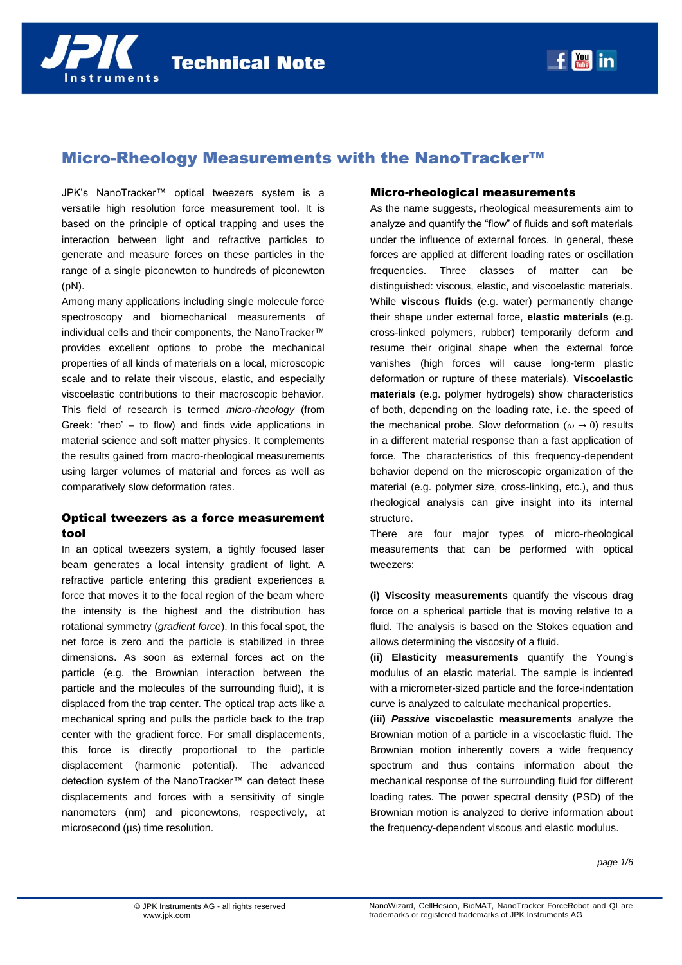# Micro-Rheology Measurements with the NanoTracker™

JPK's NanoTracker™ optical tweezers system is a versatile high resolution force measurement tool. It is based on the principle of optical trapping and uses the interaction between light and refractive particles to generate and measure forces on these particles in the range of a single piconewton to hundreds of piconewton (pN).

Among many applications including single molecule force spectroscopy and biomechanical measurements of individual cells and their components, the NanoTracker™ provides excellent options to probe the mechanical properties of all kinds of materials on a local, microscopic scale and to relate their viscous, elastic, and especially viscoelastic contributions to their macroscopic behavior. This field of research is termed *micro-rheology* (from Greek: 'rheo' – to flow) and finds wide applications in material science and soft matter physics. It complements the results gained from macro-rheological measurements using larger volumes of material and forces as well as comparatively slow deformation rates.

## Optical tweezers as a force measurement tool

In an optical tweezers system, a tightly focused laser beam generates a local intensity gradient of light. A refractive particle entering this gradient experiences a force that moves it to the focal region of the beam where the intensity is the highest and the distribution has rotational symmetry (*gradient force*). In this focal spot, the net force is zero and the particle is stabilized in three dimensions. As soon as external forces act on the particle (e.g. the Brownian interaction between the particle and the molecules of the surrounding fluid), it is displaced from the trap center. The optical trap acts like a mechanical spring and pulls the particle back to the trap center with the gradient force. For small displacements, this force is directly proportional to the particle displacement (harmonic potential). The advanced detection system of the NanoTracker™ can detect these displacements and forces with a sensitivity of single nanometers (nm) and piconewtons, respectively, at microsecond (µs) time resolution.

### Micro-rheological measurements

As the name suggests, rheological measurements aim to analyze and quantify the "flow" of fluids and soft materials under the influence of external forces. In general, these forces are applied at different loading rates or oscillation frequencies. Three classes of matter can be distinguished: viscous, elastic, and viscoelastic materials. While **viscous fluids** (e.g. water) permanently change their shape under external force, **elastic materials** (e.g. cross-linked polymers, rubber) temporarily deform and resume their original shape when the external force vanishes (high forces will cause long-term plastic deformation or rupture of these materials). **Viscoelastic materials** (e.g. polymer hydrogels) show characteristics of both, depending on the loading rate, i.e. the speed of the mechanical probe. Slow deformation ( $\omega \rightarrow 0$ ) results in a different material response than a fast application of force. The characteristics of this frequency-dependent behavior depend on the microscopic organization of the material (e.g. polymer size, cross-linking, etc.), and thus rheological analysis can give insight into its internal structure.

There are four major types of micro-rheological measurements that can be performed with optical tweezers:

**(i) Viscosity measurements** quantify the viscous drag force on a spherical particle that is moving relative to a fluid. The analysis is based on the Stokes equation and allows determining the viscosity of a fluid.

**(ii) Elasticity measurements** quantify the Young's modulus of an elastic material. The sample is indented with a micrometer-sized particle and the force-indentation curve is analyzed to calculate mechanical properties.

**(iii)** *Passive* **viscoelastic measurements** analyze the Brownian motion of a particle in a viscoelastic fluid. The Brownian motion inherently covers a wide frequency spectrum and thus contains information about the mechanical response of the surrounding fluid for different loading rates. The power spectral density (PSD) of the Brownian motion is analyzed to derive information about the frequency-dependent viscous and elastic modulus.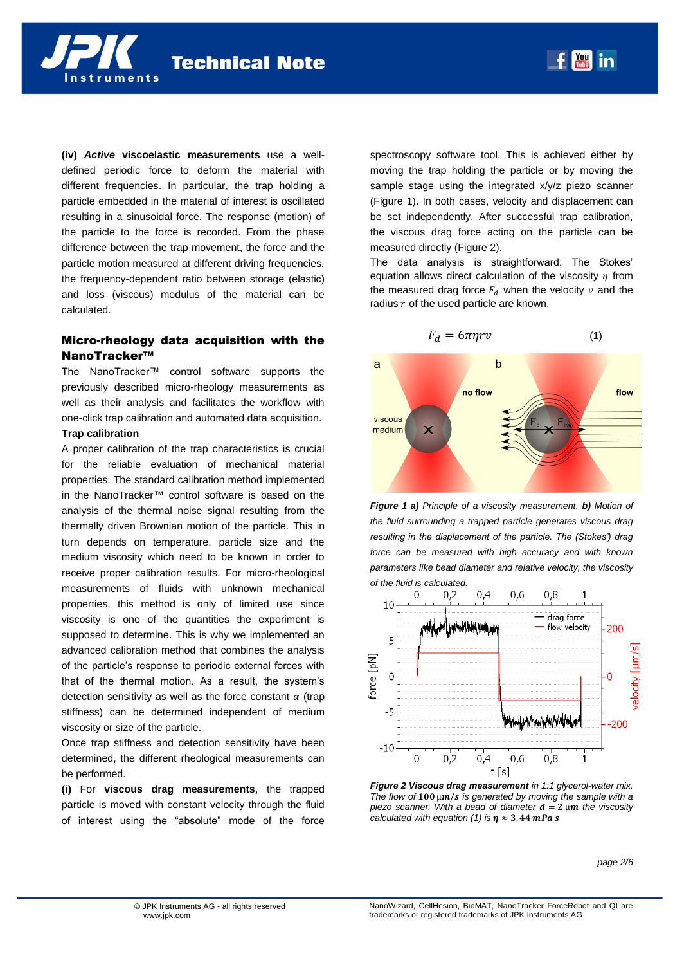nstruments

**(iv)** *Active* **viscoelastic measurements** use a welldefined periodic force to deform the material with different frequencies. In particular, the trap holding a particle embedded in the material of interest is oscillated resulting in a sinusoidal force. The response (motion) of the particle to the force is recorded. From the phase difference between the trap movement, the force and the particle motion measured at different driving frequencies, the frequency-dependent ratio between storage (elastic) and loss (viscous) modulus of the material can be calculated.

# Micro-rheology data acquisition with the NanoTracker™

The NanoTracker™ control software supports the previously described micro-rheology measurements as well as their analysis and facilitates the workflow with one-click trap calibration and automated data acquisition.

#### **Trap calibration**

A proper calibration of the trap characteristics is crucial for the reliable evaluation of mechanical material properties. The standard calibration method implemented in the NanoTracker™ control software is based on the analysis of the thermal noise signal resulting from the thermally driven Brownian motion of the particle. This in turn depends on temperature, particle size and the medium viscosity which need to be known in order to receive proper calibration results. For micro-rheological measurements of fluids with unknown mechanical properties, this method is only of limited use since viscosity is one of the quantities the experiment is supposed to determine. This is why we implemented an advanced calibration method that combines the analysis of the particle's response to periodic external forces with that of the thermal motion. As a result, the system's detection sensitivity as well as the force constant  $\alpha$  (trap stiffness) can be determined independent of medium viscosity or size of the particle.

Once trap stiffness and detection sensitivity have been determined, the different rheological measurements can be performed.

**(i)** For **viscous drag measurements**, the trapped particle is moved with constant velocity through the fluid of interest using the "absolute" mode of the force

spectroscopy software tool. This is achieved either by moving the trap holding the particle or by moving the sample stage using the integrated x/y/z piezo scanner [\(Figure 1\)](#page-1-0). In both cases, velocity and displacement can be set independently. After successful trap calibration, the viscous drag force acting on the particle can be measured directly [\(Figure 2\)](#page-1-1).

The data analysis is straightforward: The Stokes' equation allows direct calculation of the viscosity  $\eta$  from the measured drag force  $F_d$  when the velocity  $v$  and the radius  $r$  of the used particle are known.



<span id="page-1-0"></span>*Figure 1 a) Principle of a viscosity measurement. b) Motion of the fluid surrounding a trapped particle generates viscous drag resulting in the displacement of the particle. The (Stokes') drag force can be measured with high accuracy and with known parameters like bead diameter and relative velocity, the viscosity of the fluid is calculated.* 



<span id="page-1-1"></span>*Figure 2 Viscous drag measurement in 1:1 glycerol-water mix.*  The flow of  $100 \mu m/s$  is generated by moving the sample with a piezo scanner. With a bead of diameter  $d = 2 \mu m$  the viscosity *calculated with equation (1) is*  $\eta \approx 3.44$  *mPas* 

*page 2/6*

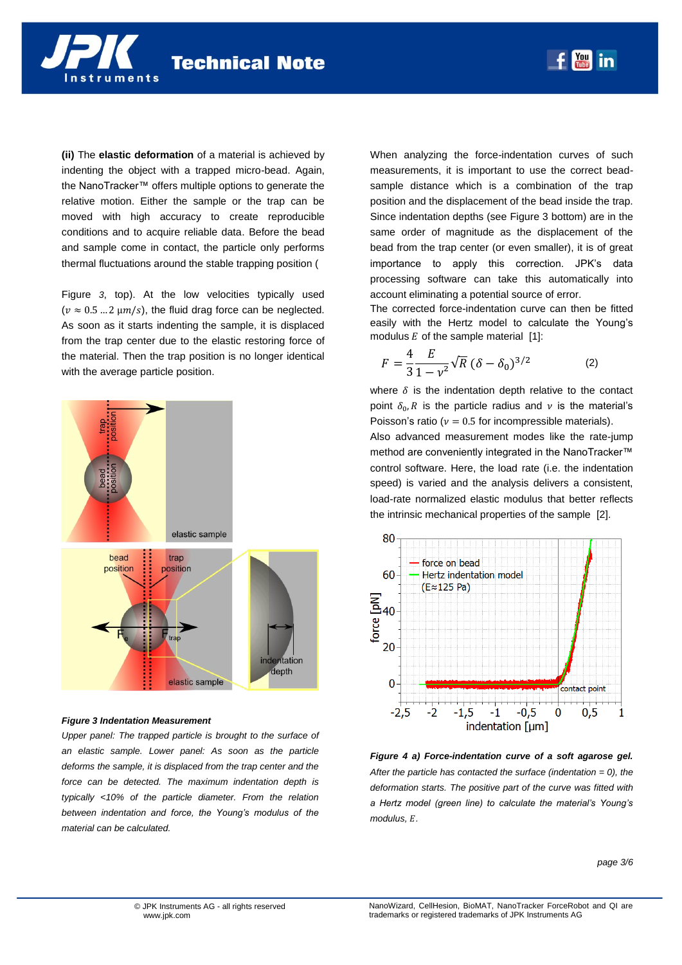**(ii)** The **elastic deformation** of a material is achieved by indenting the object with a trapped micro-bead. Again, the NanoTracker™ offers multiple options to generate the relative motion. Either the sample or the trap can be moved with high accuracy to create reproducible conditions and to acquire reliable data. Before the bead and sample come in contact, the particle only performs

nstruments

thermal fluctuations around the stable trapping position [\(](#page-2-0)

[Figure](#page-2-0) *3*, top). At the low velocities typically used  $(v \approx 0.5 ... 2 \mu m/s)$ , the fluid drag force can be neglected. As soon as it starts indenting the sample, it is displaced from the trap center due to the elastic restoring force of the material. Then the trap position is no longer identical with the average particle position.



#### <span id="page-2-0"></span>*Figure 3 Indentation Measurement*

*Upper panel: The trapped particle is brought to the surface of an elastic sample. Lower panel: As soon as the particle deforms the sample, it is displaced from the trap center and the force can be detected. The maximum indentation depth is typically <10% of the particle diameter. From the relation between indentation and force, the Young's modulus of the material can be calculated.*

When analyzing the force-indentation curves of such measurements, it is important to use the correct beadsample distance which is a combination of the trap position and the displacement of the bead inside the trap. Since indentation depths (see Figure 3 bottom) are in the same order of magnitude as the displacement of the bead from the trap center (or even smaller), it is of great importance to apply this correction. JPK's data processing software can take this automatically into account eliminating a potential source of error.

 $\frac{Y_0}{Y_1}$ in

The corrected force-indentation curve can then be fitted easily with the Hertz model to calculate the Young's modulus  $E$  of the sample material  $[1]$ :

<span id="page-2-1"></span>
$$
F = \frac{4}{3} \frac{E}{1 - v^2} \sqrt{R} (\delta - \delta_0)^{3/2}
$$
 (2)

where  $\delta$  is the indentation depth relative to the contact point  $\delta_0$ , R is the particle radius and v is the material's Poisson's ratio ( $v = 0.5$  for incompressible materials).

Also advanced measurement modes like the rate-jump method are conveniently integrated in the NanoTracker™ control software. Here, the load rate (i.e. the indentation speed) is varied and the analysis delivers a consistent, load-rate normalized elastic modulus that better reflects the intrinsic mechanical properties of the sample [2].



*Figure 4 a) Force-indentation curve of a soft agarose gel. After the particle has contacted the surface (indentation = 0), the deformation starts. The positive part of the curve was fitted with a Hertz model (green line) to calculate the material's Young's*  modulus, E.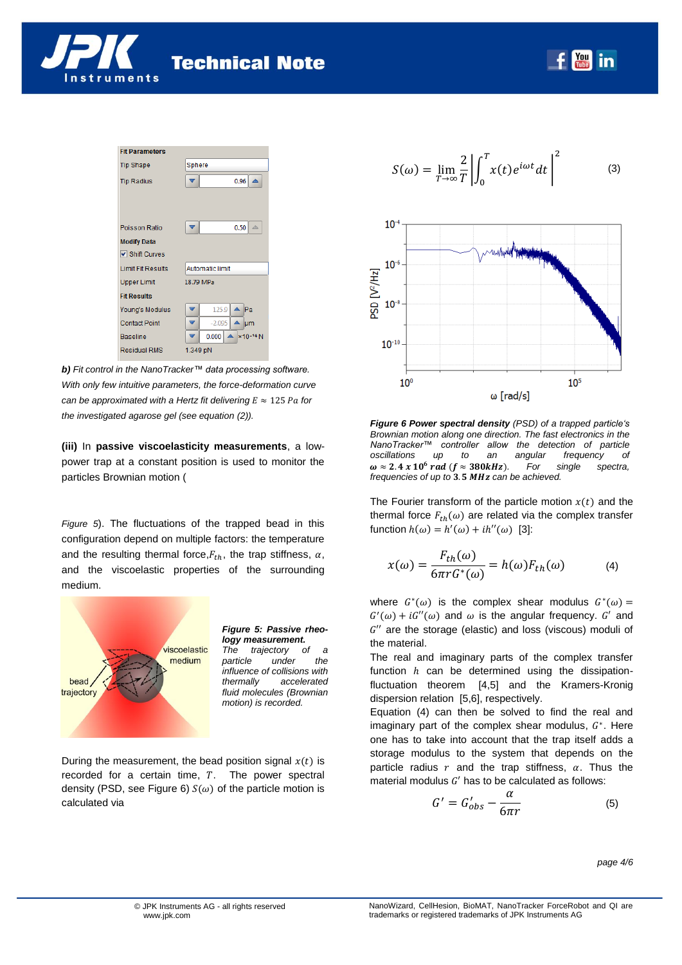



*b) Fit control in the NanoTracker™ data processing software. With only few intuitive parameters, the force-deformation curve can be approximated with a Hertz fit delivering*  $E \approx 125$  *Pa for the investigated agarose gel (see equation [\(2\)](#page-2-1)).*

**(iii)** In **passive viscoelasticity measurements**, a lowpower trap at a constant position is used to monitor the particles Brownian motion [\(](#page-3-0)

*[Figure](#page-3-0) 5*). The fluctuations of the trapped bead in this configuration depend on multiple factors: the temperature and the resulting thermal force,  $F_{th}$ , the trap stiffness,  $\alpha$ , and the viscoelastic properties of the surrounding medium.



<span id="page-3-0"></span>*Figure 5: Passive rheology measurement.*<br>The trajectory of *trajectory* of a

*particle under the influence of collisions with thermally accelerated fluid molecules (Brownian motion) is recorded.*

During the measurement, the bead position signal  $x(t)$  is recorded for a certain time,  $T$ . The power spectral density (PSD, see [Figure 6\)](#page-3-1)  $S(\omega)$  of the particle motion is calculated via

$$
S(\omega) = \lim_{T \to \infty} \frac{2}{T} \left| \int_0^T x(t) e^{i\omega t} dt \right|^2 \tag{3}
$$



<span id="page-3-1"></span>*Figure 6 Power spectral density (PSD) of a trapped particle's Brownian motion along one direction. The fast electronics in the NanoTracker™ controller allow the detection of particle oscillations up to an angular frequency of*  $\omega \approx 2.4 \times 10^6$  rad ( $f \approx 380$ kHz). For single spectra, *frequencies of up to 3.5 MHz can be achieved.* 

The Fourier transform of the particle motion  $x(t)$  and the thermal force  $F_{th}(\omega)$  are related via the complex transfer function  $h(\omega) = h'(\omega) + ih''(\omega)$  [3]:

<span id="page-3-2"></span>
$$
x(\omega) = \frac{F_{th}(\omega)}{6\pi r G^*(\omega)} = h(\omega) F_{th}(\omega)
$$
 (4)

where  $G^*(\omega)$  is the complex shear modulus  $G^*(\omega)$  $G'(\omega) + iG''(\omega)$  and  $\omega$  is the angular frequency. G' and  $G^{\prime\prime}$  are the storage (elastic) and loss (viscous) moduli of the material.

The real and imaginary parts of the complex transfer function  $h$  can be determined using the dissipationfluctuation theorem [4,5] and the Kramers-Kronig dispersion relation [5,6], respectively.

Equation [\(4\)](#page-3-2) can then be solved to find the real and imaginary part of the complex shear modulus,  $G^*$ . Here one has to take into account that the trap itself adds a storage modulus to the system that depends on the particle radius  $r$  and the trap stiffness,  $\alpha$ . Thus the material modulus  $G'$  has to be calculated as follows:

$$
G' = G'_{obs} - \frac{\alpha}{6\pi r} \tag{5}
$$

*page 4/6*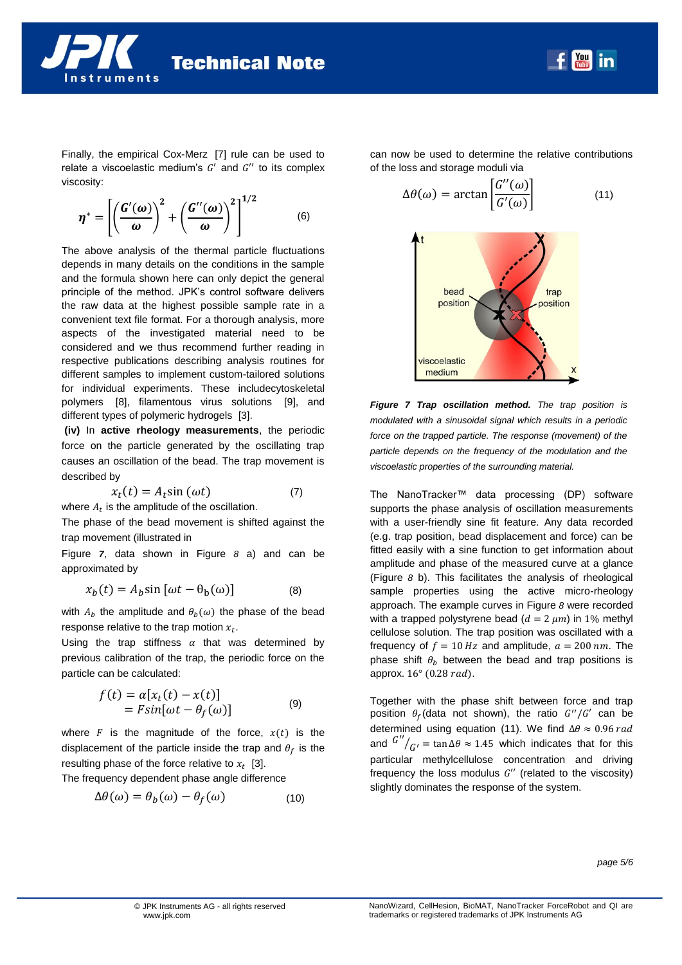

Finally, the empirical Cox-Merz [7] rule can be used to relate a viscoelastic medium's  $G'$  and  $G''$  to its complex viscosity:

$$
\boldsymbol{\eta}^* = \left[ \left( \frac{\boldsymbol{G}'(\boldsymbol{\omega})}{\boldsymbol{\omega}} \right)^2 + \left( \frac{\boldsymbol{G}''(\boldsymbol{\omega})}{\boldsymbol{\omega}} \right)^2 \right]^{1/2} \tag{6}
$$

The above analysis of the thermal particle fluctuations depends in many details on the conditions in the sample and the formula shown here can only depict the general principle of the method. JPK's control software delivers the raw data at the highest possible sample rate in a convenient text file format. For a thorough analysis, more aspects of the investigated material need to be considered and we thus recommend further reading in respective publications describing analysis routines for different samples to implement custom-tailored solutions for individual experiments. These includecytoskeletal polymers [8], filamentous virus solutions [9], and different types of polymeric hydrogels [3].

**(iv)** In **active rheology measurements**, the periodic force on the particle generated by the oscillating trap causes an oscillation of the bead. The trap movement is described by

$$
x_t(t) = A_t \sin(\omega t) \tag{7}
$$

where  $A_t$  is the amplitude of the oscillation.

The phase of the bead movement is shifted against the trap movement (illustrated in

[Figure](#page-4-0) *7*, data shown in [Figure](#page-5-0) *8* a) and can be approximated by

$$
x_b(t) = A_b \sin \left[\omega t - \theta_b(\omega)\right] \tag{8}
$$

with  $A_h$  the amplitude and  $\theta_h(\omega)$  the phase of the bead response relative to the trap motion  $x_t$ .

Using the trap stiffness  $\alpha$  that was determined by previous calibration of the trap, the periodic force on the particle can be calculated:

$$
f(t) = \alpha[x_t(t) - x(t)]
$$
  
=  $F \sin[\omega t - \theta_f(\omega)]$  (9)

where  $F$  is the magnitude of the force,  $x(t)$  is the displacement of the particle inside the trap and  $\theta_f$  is the resulting phase of the force relative to  $x_t$  [3].

The frequency dependent phase angle difference

$$
\Delta\theta(\omega) = \theta_b(\omega) - \theta_f(\omega) \tag{10}
$$

can now be used to determine the relative contributions of the loss and storage moduli via

<span id="page-4-1"></span>
$$
\Delta\theta(\omega) = \arctan\left[\frac{G''(\omega)}{G'(\omega)}\right] \tag{11}
$$



<span id="page-4-0"></span>*Figure 7 Trap oscillation method. The trap position is modulated with a sinusoidal signal which results in a periodic force on the trapped particle. The response (movement) of the particle depends on the frequency of the modulation and the viscoelastic properties of the surrounding material.*

The NanoTracker™ data processing (DP) software supports the phase analysis of oscillation measurements with a user-friendly sine fit feature. Any data recorded (e.g. trap position, bead displacement and force) can be fitted easily with a sine function to get information about amplitude and phase of the measured curve at a glance [\(Figure](#page-5-0) *8* b). This facilitates the analysis of rheological sample properties using the active micro-rheology approach. The example curves in [Figure](#page-5-0) *8* were recorded with a trapped polystyrene bead ( $d = 2 \mu m$ ) in 1% methyl cellulose solution. The trap position was oscillated with a frequency of  $f = 10 Hz$  and amplitude,  $a = 200 nm$ . The phase shift  $\theta_h$  between the bead and trap positions is approx.  $16^{\circ}$  (0.28 rad).

Together with the phase shift between force and trap position  $\theta_f$  (data not shown), the ratio  $G''/G'$  can be determined using equation [\(11\)](#page-4-1). We find  $\Delta\theta \approx 0.96 \, rad$ and  $G''/_{C'} = \tan \Delta \theta \approx 1.45$  which indicates that for this particular methylcellulose concentration and driving frequency the loss modulus  $G''$  (related to the viscosity) slightly dominates the response of the system.

*page 5/6*